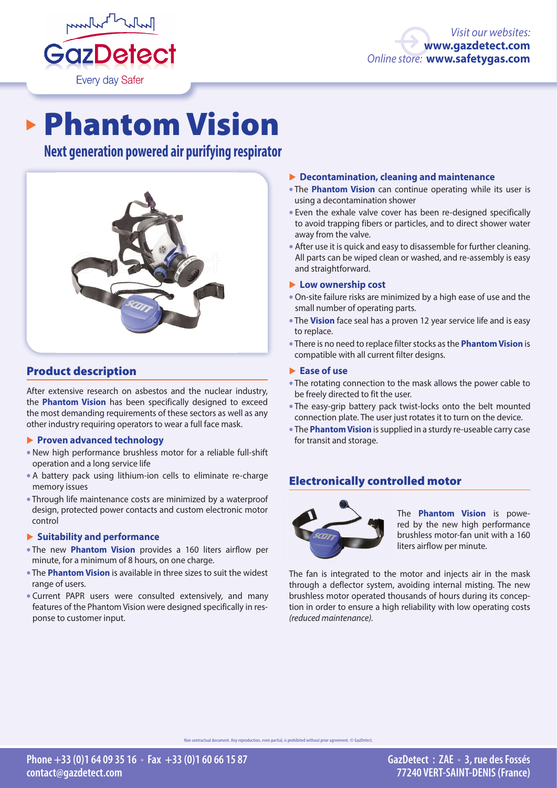

# Phantom Vision

## **Next generation powered air purifying respirator**



## Product description

After extensive research on asbestos and the nuclear industry, the **Phantom Vision** has been specifically designed to exceed the most demanding requirements of these sectors as well as any other industry requiring operators to wear a full face mask.

#### � **Proven advanced technology**

- New high performance brushless motor for a reliable full-shift operation and a long service life
- A battery pack using lithium-ion cells to eliminate re-charge memory issues
- Through life maintenance costs are minimized by a waterproof design, protected power contacts and custom electronic motor control

#### � **Suitability and performance**

- The new **Phantom Vision** provides a 160 liters airflow per minute, for a minimum of 8 hours, on one charge.
- The **Phantom Vision** is available in three sizes to suit the widest range of users.
- Current PAPR users were consulted extensively, and many features of the Phantom Vision were designed specifically in response to customer input.
- � **Decontamination, cleaning and maintenance**
- The **Phantom Vision** can continue operating while its user is using a decontamination shower
- Even the exhale valve cover has been re-designed specifically to avoid trapping fibers or particles, and to direct shower water away from the valve.
- After use it is quick and easy to disassemble for further cleaning. All parts can be wiped clean or washed, and re-assembly is easy and straightforward.

#### � **Low ownership cost**

- On-site failure risks are minimized by a high ease of use and the small number of operating parts.
- The **Vision** face seal has a proven 12 year service life and is easy to replace.
- There is no need to replace filter stocks as the **Phantom Vision** is compatible with all current filter designs.

#### � **Ease of use**

- The rotating connection to the mask allows the power cable to be freely directed to fit the user.
- The easy-grip battery pack twist-locks onto the belt mounted connection plate. The user just rotates it to turn on the device.
- The **Phantom Vision** is supplied in a sturdy re-useable carry case for transit and storage.

## Electronically controlled motor



contractual document. Any reproduction, even partial, is prohibited without prior agreement. © GazDetect

The **Phantom Vision** is powered by the new high performance brushless motor-fan unit with a 160 liters airflow per minute.

The fan is integrated to the motor and injects air in the mask through a deflector system, avoiding internal misting. The new brushless motor operated thousands of hours during its conception in order to ensure a high reliability with low operating costs *(reduced maintenance).*